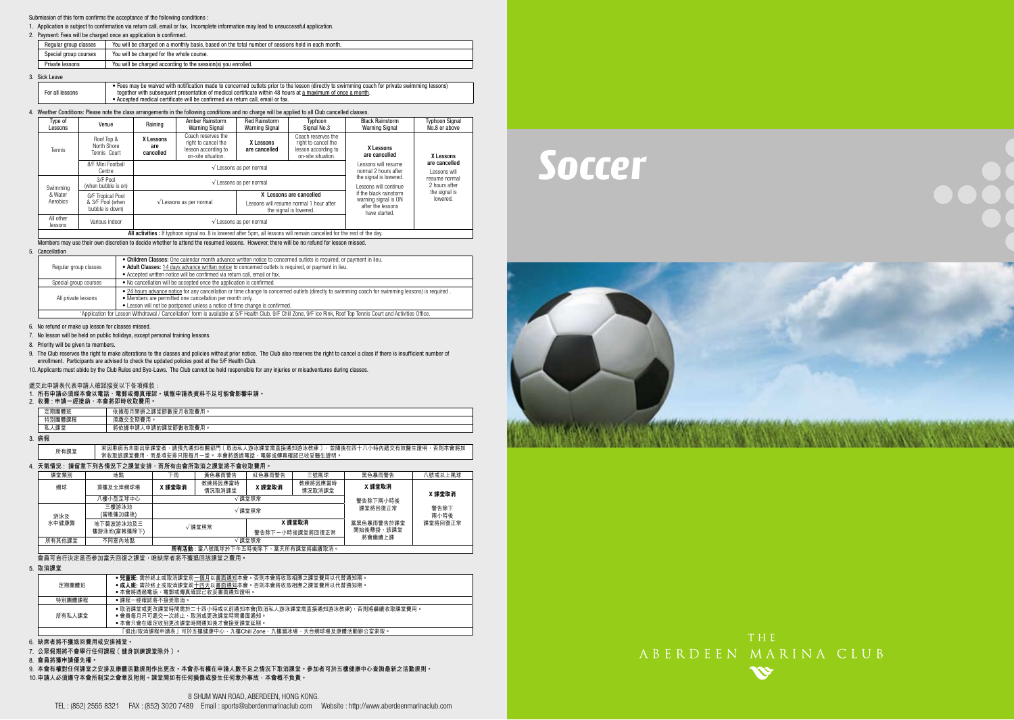#### Submission of this form confirms the acceptance of the following conditions :

1. Application is subject to confirmation via return call, email or fax. Incomplete information may lead to unsuccessful application.

#### 2. Payment: Fees will be charged once an application is confirmed.

| Regular group classes | You will be charged on a monthly basis, based on the total number of sessions held in each month. |
|-----------------------|---------------------------------------------------------------------------------------------------|
| Special group courses | You will be charged for the whole course.                                                         |
| Private lessons       | You will be charged according to the session(s) you enrolled.                                     |

#### 3. Sick Leave

|  | For all lessons | • Fees may be waived with notification made to concerned outlets prior to the lesson (directly to swimming coach for private swimming lessons)<br>together with subsequent presentation of medical certificate within 48 hours at a maximum of once a month.<br>• Accepted medical certificate will be confirmed via return call, email or fax. |
|--|-----------------|-------------------------------------------------------------------------------------------------------------------------------------------------------------------------------------------------------------------------------------------------------------------------------------------------------------------------------------------------|
|--|-----------------|-------------------------------------------------------------------------------------------------------------------------------------------------------------------------------------------------------------------------------------------------------------------------------------------------------------------------------------------------|

### 4. Weather Conditions: Please note the class arrangements in the following conditions and no charge will be applied to all Club cancelled classes.

| Type of<br>Lessons   | Venue                                     | Raining                       | <b>Amber Rainstorm</b><br><b>Warning Signal</b>                                        | <b>Red Rainstorm</b><br><b>Warning Signal</b>    | Typhoon<br>Signal No.3                                                                 | <b>Black Rainstorm</b><br><b>Warning Signal</b>            | <b>Typhoon Signal</b><br>No.8 or above      |  |
|----------------------|-------------------------------------------|-------------------------------|----------------------------------------------------------------------------------------|--------------------------------------------------|----------------------------------------------------------------------------------------|------------------------------------------------------------|---------------------------------------------|--|
| Tennis               | Roof Top &<br>North Shore<br>Tennis Court | X Lessons<br>are<br>cancelled | Coach reserves the<br>right to cancel the<br>lesson according to<br>on-site situation. | X Lessons<br>are cancelled                       | Coach reserves the<br>right to cancel the<br>lesson according to<br>on-site situation. | X Lessons<br>are cancelled                                 | X Lessons<br>are cancelled<br>I essons will |  |
|                      | 8/F Mini Foothall<br>Centre               |                               |                                                                                        | $\sqrt{\ }$ Lessons as per normal                |                                                                                        | I essons will resume<br>normal 2 hours after               |                                             |  |
| Swimming             | 3/F Pool<br>(when bubble is on)           |                               | $\sqrt{\ }$ Lessons as per normal                                                      | the signal is lowered.<br>I essons will continue | resume normal<br>2 hours after                                                         |                                                            |                                             |  |
| & Water              | G/F Tropical Pool                         |                               |                                                                                        | X Lessons are cancelled                          |                                                                                        | if the black rainstorm                                     | the signal is<br>lowered.                   |  |
| Aerobics             | & 3/F Pool (when<br>bubble is down)       |                               | $\sqrt{\ }$ Lessons as per normal                                                      |                                                  | Lessons will resume normal 1 hour after<br>the signal is lowered.                      | warning signal is ON<br>after the lessons<br>have started. |                                             |  |
| All other<br>lessons | Various indoor                            |                               | $\sqrt{\ }$ Lessons as per normal                                                      |                                                  |                                                                                        |                                                            |                                             |  |
|                      |                                           |                               |                                                                                        |                                                  |                                                                                        |                                                            |                                             |  |

All activities : If typhoon signal no. 8 is lowered after 5pm, all lessons will remain cancelled for the rest of the day.

Members may use their own discretion to decide whether to attend the resumed lessons. However, there will be no refund for lesson missed.

#### 5. Cancellation

|                       | . Children Classes: One calendar month advance written notice to concerned outlets is required, or payment in lieu.                                                 |  |  |  |  |  |
|-----------------------|---------------------------------------------------------------------------------------------------------------------------------------------------------------------|--|--|--|--|--|
| Regular group classes | . Adult Classes: 14 days advance written notice to concerned outlets is required, or payment in lieu.                                                               |  |  |  |  |  |
|                       | . Accepted written notice will be confirmed via return call, email or fax.                                                                                          |  |  |  |  |  |
| Special group courses | . No cancellation will be accepted once the application is confirmed.                                                                                               |  |  |  |  |  |
|                       | . 24 hours advance notice for any cancellation or time change to concerned outlets (directly to swimming coach for swimming lessons) is required.                   |  |  |  |  |  |
| All private lessons   | . Members are permitted one cancellation per month only.                                                                                                            |  |  |  |  |  |
|                       | • Lesson will not be postponed unless a notice of time change is confirmed.                                                                                         |  |  |  |  |  |
|                       | 'Application for Lesson Withdrawal / Cancellation' form is available at 5/F Health Club, 9/F Chill Zone, 9/F Ice Rink, Roof Top Tennis Court and Activities Office, |  |  |  |  |  |

6. No refund or make up lesson for classes missed.

7. No lesson will be held on public holidays, except personal training lessons.

8. Priority will be given to members.

9. The Club reserves the right to make alterations to the classes and policies without prior notice. The Club also reserves the right to cancel a class if there is insufficient number of enrollment. Participants are advised to check the updated policies post at the 5/F Health Club.

10. Applicants must abide by the Club Rules and Bye-Laws. The Club cannot be held responsible for any injuries or misadventures during classes.

#### 遞交此申請表代表申請人確認接受以下各項條款 :

#### **1. 所有申請必須經本會以電話、電郵或傳真確認。填報申請表資料不足可能會影響申請。**

**2. 收費 : 申請一經接納,本會將即時收取費用。**

| 團體班<br>÷<br>定期   | "月收取費用 ·<br>動扮<br>4開辦<br>之課堂節<br>语<br>$\sim$<br>10.<br>18 |
|------------------|-----------------------------------------------------------|
| 特別團體<br>課程       | :期費用。<br>しなみせ                                             |
| 细光<br>私ノ<br>・ヘ訴』 | < 申請的課堂節數收F<br>!取費用<br>45<br>申請<br>將依據<br>$\sim$          |

**3. 病假**

| 所有課堂 | 若因患病而未能出席課堂者,請預先通知有關部門〔取消私人游泳課堂需直接通知游泳教練〕,並隨後在四十八小時內遞交有效醫生證明,否則本會將如 |
|------|---------------------------------------------------------------------|
|      | 常收取該課堂費用,而是項安排只限每月一堂。 本會將透過電話、電郵或傳真確認已收妥醫生證明。                       |

**4. 天氣情況 : 請留意下列各情況下之課堂安排,而所有由會所取消之課堂將不會收取費用。**

| 課堂類別   | 地點                              | 下雨                          | 黃色暴雨警告 | 紅色暴雨警告          | 三號風球              | 黑色暴雨警告     | 八號或以上風球      |  |  |  |
|--------|---------------------------------|-----------------------------|--------|-----------------|-------------------|------------|--------------|--|--|--|
| 網球     | 頂樓及北岸網球場                        | 教練將因應當時<br>X 課堂取消<br>情況取消課堂 |        | X 課堂取消          | 教練將因應當時<br>情況取消課堂 | X 課堂取消     | X 課堂取消       |  |  |  |
|        | 八樓小型足球中心                        |                             |        | 課堂照常            | 警告除下兩小時後          |            |              |  |  |  |
| 游泳及    | 三樓游泳池<br>(當帳篷加建後)               |                             |        | √課堂照常           |                   | 課堂將回復正常    | 警告除下<br>兩小時後 |  |  |  |
| 水中健康舞  | 地下碧波游泳池及三                       |                             | √課堂照常  |                 | X 課堂取消            | 當里色暴雨警告於課堂 | 課堂將回復正常      |  |  |  |
|        | 樓游泳池(當帳蓬除下)                     |                             |        | 警告除下一小時後課堂將回復正常 |                   | 開始後懸掛,該課堂  |              |  |  |  |
| 所有其他課堂 | 不同室內地點                          |                             |        | 課堂照常            | 將會繼續上課            |            |              |  |  |  |
|        | 所有活動:當八號風球於下午五時後除下,當天所有課堂將繼續取消。 |                             |        |                 |                   |            |              |  |  |  |

會員可自行決定是否參加當天回復之課堂,唯缺席者將不獲退回該課堂之費用。

**5. 取消課堂**

| 定期團體班  | ●兒童班: 需於終止或取消課堂前一個月以書面通知本會。否則本會將收取相應之課堂費用以代替通知期。<br>●成人班: 需於終止或取消課堂前十四天以書面通知本會。否則本會將收取相應之課堂費用以代替通知期。<br>•本會將透過電話、電郵或傳真確認已收妥書面通知證明。 |
|--------|------------------------------------------------------------------------------------------------------------------------------------|
| 特別團體課程 | •課程-經確認將不接受取消。                                                                                                                     |
| 所有私人課堂 | ●取消課堂或更改課堂時間需於二十四小時或以前通知本會(取消私人游泳課堂需直接通知游泳教練),否則將繼續收取課堂費用。<br>●會員每月只可遞交ー次終止、取消或更改課堂時間書面通知。<br>●本會只會在確定收到更改課堂時間涌知後才會接受課堂延期。         |
|        | 「退出/取消課程申請表」可於五樓健康中心、九樓Chill Zone、九樓溜冰場、天台網球場及康體活動辦公室索取。                                                                           |

#### **6. 缺席者將不獲退回費用或安排補堂。**

**7. 公眾假期將不會舉行任何課程﹝健身訓練課堂除外﹞。**

**8. 會員將獲申請優先權。**

**9. 本會有權對任何課堂之安排及康體活動規則作出更改。本會亦有權在申請人數不足之情況下取消課堂。參加者可於五樓健康中心查詢最新之活動規則。 10. 申請人必須遵守本會所制定之會章及附則。課堂間如有任何損傷或發生任何意外事故,本會概不負責。**

*Soccer*